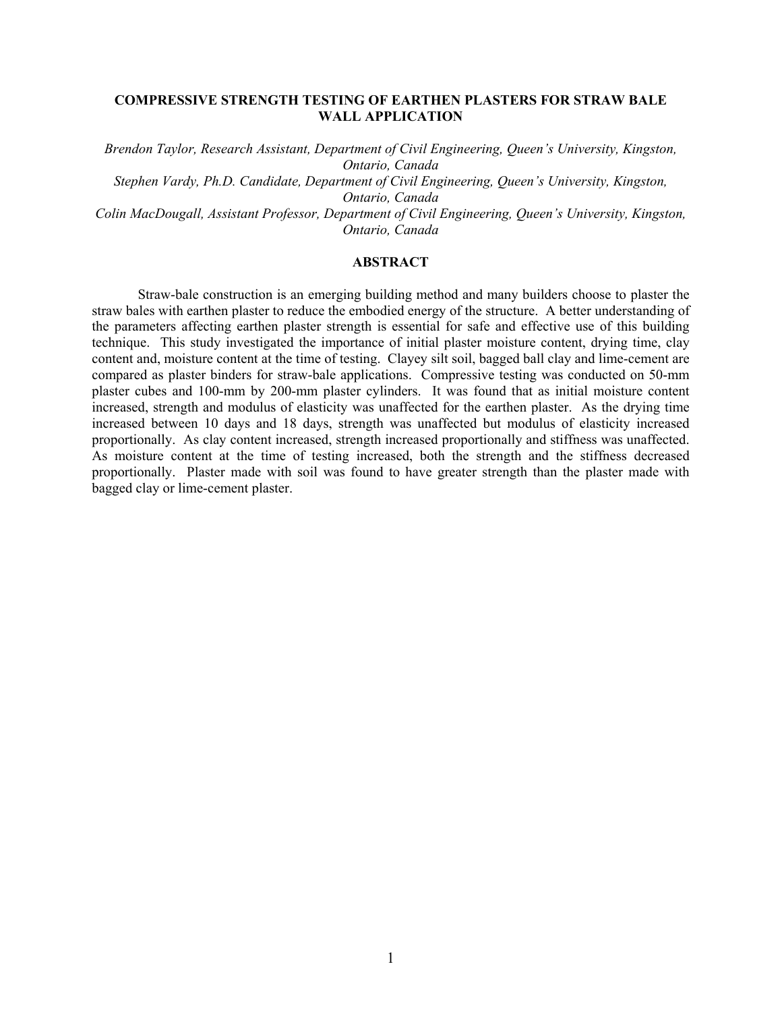# **COMPRESSIVE STRENGTH TESTING OF EARTHEN PLASTERS FOR STRAW BALE WALL APPLICATION**

*Brendon Taylor, Research Assistant, Department of Civil Engineering, Queen's University, Kingston, Ontario, Canada Stephen Vardy, Ph.D. Candidate, Department of Civil Engineering, Queen's University, Kingston,* 

*Ontario, Canada* 

*Colin MacDougall, Assistant Professor, Department of Civil Engineering, Queen's University, Kingston, Ontario, Canada* 

# **ABSTRACT**

 Straw-bale construction is an emerging building method and many builders choose to plaster the straw bales with earthen plaster to reduce the embodied energy of the structure. A better understanding of the parameters affecting earthen plaster strength is essential for safe and effective use of this building technique. This study investigated the importance of initial plaster moisture content, drying time, clay content and, moisture content at the time of testing. Clayey silt soil, bagged ball clay and lime-cement are compared as plaster binders for straw-bale applications. Compressive testing was conducted on 50-mm plaster cubes and 100-mm by 200-mm plaster cylinders. It was found that as initial moisture content increased, strength and modulus of elasticity was unaffected for the earthen plaster. As the drying time increased between 10 days and 18 days, strength was unaffected but modulus of elasticity increased proportionally. As clay content increased, strength increased proportionally and stiffness was unaffected. As moisture content at the time of testing increased, both the strength and the stiffness decreased proportionally. Plaster made with soil was found to have greater strength than the plaster made with bagged clay or lime-cement plaster.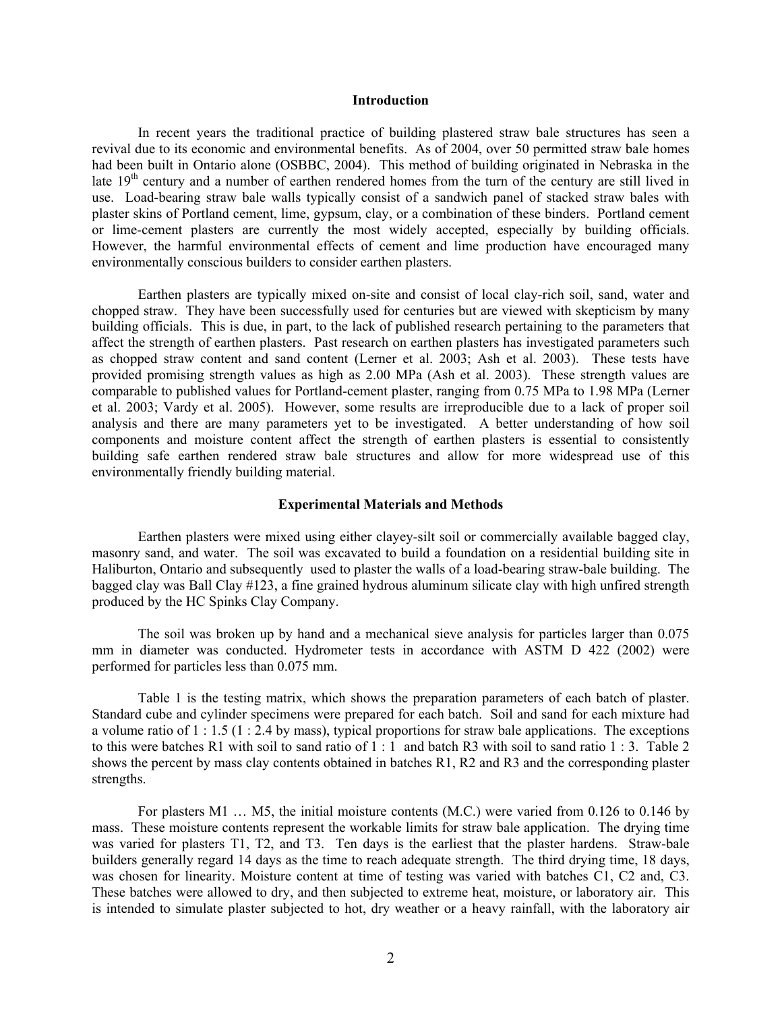#### **Introduction**

 In recent years the traditional practice of building plastered straw bale structures has seen a revival due to its economic and environmental benefits. As of 2004, over 50 permitted straw bale homes had been built in Ontario alone (OSBBC, 2004). This method of building originated in Nebraska in the late 19<sup>th</sup> century and a number of earthen rendered homes from the turn of the century are still lived in use. Load-bearing straw bale walls typically consist of a sandwich panel of stacked straw bales with plaster skins of Portland cement, lime, gypsum, clay, or a combination of these binders. Portland cement or lime-cement plasters are currently the most widely accepted, especially by building officials. However, the harmful environmental effects of cement and lime production have encouraged many environmentally conscious builders to consider earthen plasters.

 Earthen plasters are typically mixed on-site and consist of local clay-rich soil, sand, water and chopped straw. They have been successfully used for centuries but are viewed with skepticism by many building officials. This is due, in part, to the lack of published research pertaining to the parameters that affect the strength of earthen plasters. Past research on earthen plasters has investigated parameters such as chopped straw content and sand content (Lerner et al. 2003; Ash et al. 2003). These tests have provided promising strength values as high as 2.00 MPa (Ash et al. 2003). These strength values are comparable to published values for Portland-cement plaster, ranging from 0.75 MPa to 1.98 MPa (Lerner et al. 2003; Vardy et al. 2005). However, some results are irreproducible due to a lack of proper soil analysis and there are many parameters yet to be investigated. A better understanding of how soil components and moisture content affect the strength of earthen plasters is essential to consistently building safe earthen rendered straw bale structures and allow for more widespread use of this environmentally friendly building material.

#### **Experimental Materials and Methods**

 Earthen plasters were mixed using either clayey-silt soil or commercially available bagged clay, masonry sand, and water. The soil was excavated to build a foundation on a residential building site in Haliburton, Ontario and subsequently used to plaster the walls of a load-bearing straw-bale building. The bagged clay was Ball Clay #123, a fine grained hydrous aluminum silicate clay with high unfired strength produced by the HC Spinks Clay Company.

 The soil was broken up by hand and a mechanical sieve analysis for particles larger than 0.075 mm in diameter was conducted. Hydrometer tests in accordance with ASTM D 422 (2002) were performed for particles less than 0.075 mm.

 Table 1 is the testing matrix, which shows the preparation parameters of each batch of plaster. Standard cube and cylinder specimens were prepared for each batch. Soil and sand for each mixture had a volume ratio of 1 : 1.5 (1 : 2.4 by mass), typical proportions for straw bale applications. The exceptions to this were batches R1 with soil to sand ratio of 1 : 1 and batch R3 with soil to sand ratio 1 : 3. Table 2 shows the percent by mass clay contents obtained in batches R1, R2 and R3 and the corresponding plaster strengths.

For plasters M1 ... M5, the initial moisture contents (M.C.) were varied from 0.126 to 0.146 by mass. These moisture contents represent the workable limits for straw bale application. The drying time was varied for plasters T1, T2, and T3. Ten days is the earliest that the plaster hardens. Straw-bale builders generally regard 14 days as the time to reach adequate strength. The third drying time, 18 days, was chosen for linearity. Moisture content at time of testing was varied with batches C1, C2 and, C3. These batches were allowed to dry, and then subjected to extreme heat, moisture, or laboratory air. This is intended to simulate plaster subjected to hot, dry weather or a heavy rainfall, with the laboratory air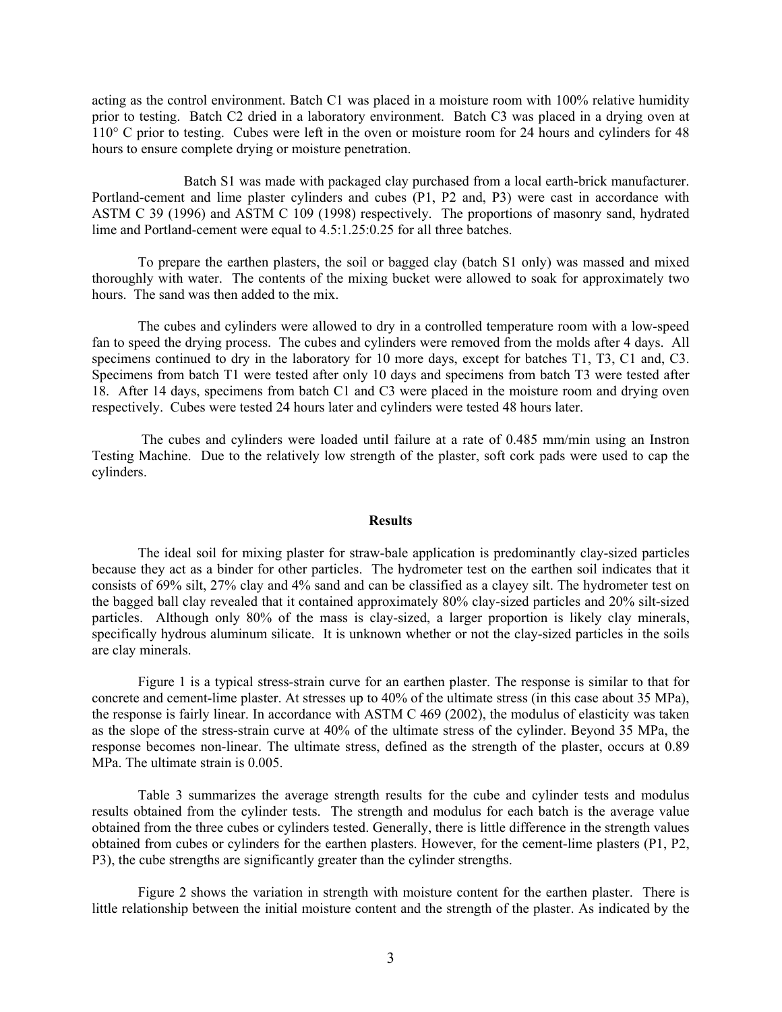acting as the control environment. Batch C1 was placed in a moisture room with 100% relative humidity prior to testing. Batch C2 dried in a laboratory environment. Batch C3 was placed in a drying oven at 110° C prior to testing. Cubes were left in the oven or moisture room for 24 hours and cylinders for 48 hours to ensure complete drying or moisture penetration.

 Batch S1 was made with packaged clay purchased from a local earth-brick manufacturer. Portland-cement and lime plaster cylinders and cubes (P1, P2 and, P3) were cast in accordance with ASTM C 39 (1996) and ASTM C 109 (1998) respectively. The proportions of masonry sand, hydrated lime and Portland-cement were equal to 4.5:1.25:0.25 for all three batches.

 To prepare the earthen plasters, the soil or bagged clay (batch S1 only) was massed and mixed thoroughly with water. The contents of the mixing bucket were allowed to soak for approximately two hours. The sand was then added to the mix.

 The cubes and cylinders were allowed to dry in a controlled temperature room with a low-speed fan to speed the drying process. The cubes and cylinders were removed from the molds after 4 days. All specimens continued to dry in the laboratory for 10 more days, except for batches T1, T3, C1 and, C3. Specimens from batch T1 were tested after only 10 days and specimens from batch T3 were tested after 18. After 14 days, specimens from batch C1 and C3 were placed in the moisture room and drying oven respectively. Cubes were tested 24 hours later and cylinders were tested 48 hours later.

 The cubes and cylinders were loaded until failure at a rate of 0.485 mm/min using an Instron Testing Machine. Due to the relatively low strength of the plaster, soft cork pads were used to cap the cylinders.

## **Results**

 The ideal soil for mixing plaster for straw-bale application is predominantly clay-sized particles because they act as a binder for other particles. The hydrometer test on the earthen soil indicates that it consists of 69% silt, 27% clay and 4% sand and can be classified as a clayey silt. The hydrometer test on the bagged ball clay revealed that it contained approximately 80% clay-sized particles and 20% silt-sized particles. Although only 80% of the mass is clay-sized, a larger proportion is likely clay minerals, specifically hydrous aluminum silicate. It is unknown whether or not the clay-sized particles in the soils are clay minerals.

 Figure 1 is a typical stress-strain curve for an earthen plaster. The response is similar to that for concrete and cement-lime plaster. At stresses up to 40% of the ultimate stress (in this case about 35 MPa), the response is fairly linear. In accordance with ASTM C 469 (2002), the modulus of elasticity was taken as the slope of the stress-strain curve at 40% of the ultimate stress of the cylinder. Beyond 35 MPa, the response becomes non-linear. The ultimate stress, defined as the strength of the plaster, occurs at 0.89 MPa. The ultimate strain is 0.005.

 Table 3 summarizes the average strength results for the cube and cylinder tests and modulus results obtained from the cylinder tests. The strength and modulus for each batch is the average value obtained from the three cubes or cylinders tested. Generally, there is little difference in the strength values obtained from cubes or cylinders for the earthen plasters. However, for the cement-lime plasters (P1, P2, P3), the cube strengths are significantly greater than the cylinder strengths.

 Figure 2 shows the variation in strength with moisture content for the earthen plaster. There is little relationship between the initial moisture content and the strength of the plaster. As indicated by the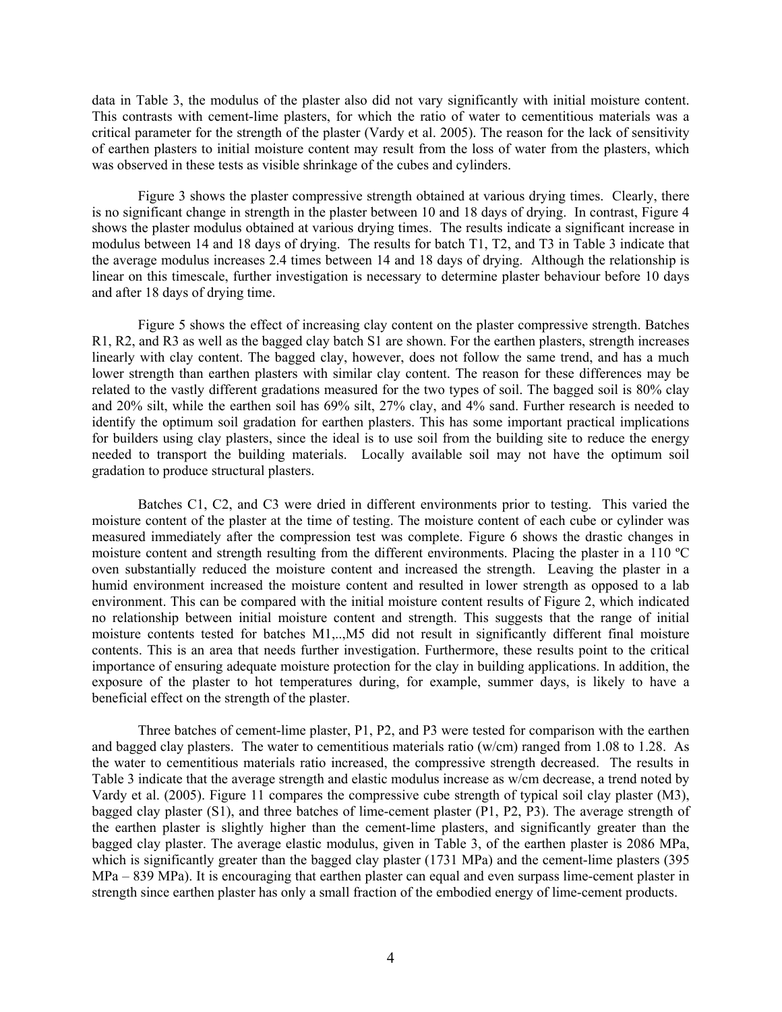data in Table 3, the modulus of the plaster also did not vary significantly with initial moisture content. This contrasts with cement-lime plasters, for which the ratio of water to cementitious materials was a critical parameter for the strength of the plaster (Vardy et al. 2005). The reason for the lack of sensitivity of earthen plasters to initial moisture content may result from the loss of water from the plasters, which was observed in these tests as visible shrinkage of the cubes and cylinders.

 Figure 3 shows the plaster compressive strength obtained at various drying times. Clearly, there is no significant change in strength in the plaster between 10 and 18 days of drying. In contrast, Figure 4 shows the plaster modulus obtained at various drying times. The results indicate a significant increase in modulus between 14 and 18 days of drying. The results for batch T1, T2, and T3 in Table 3 indicate that the average modulus increases 2.4 times between 14 and 18 days of drying. Although the relationship is linear on this timescale, further investigation is necessary to determine plaster behaviour before 10 days and after 18 days of drying time.

 Figure 5 shows the effect of increasing clay content on the plaster compressive strength. Batches R1, R2, and R3 as well as the bagged clay batch S1 are shown. For the earthen plasters, strength increases linearly with clay content. The bagged clay, however, does not follow the same trend, and has a much lower strength than earthen plasters with similar clay content. The reason for these differences may be related to the vastly different gradations measured for the two types of soil. The bagged soil is 80% clay and 20% silt, while the earthen soil has 69% silt, 27% clay, and 4% sand. Further research is needed to identify the optimum soil gradation for earthen plasters. This has some important practical implications for builders using clay plasters, since the ideal is to use soil from the building site to reduce the energy needed to transport the building materials. Locally available soil may not have the optimum soil gradation to produce structural plasters.

 Batches C1, C2, and C3 were dried in different environments prior to testing. This varied the moisture content of the plaster at the time of testing. The moisture content of each cube or cylinder was measured immediately after the compression test was complete. Figure 6 shows the drastic changes in moisture content and strength resulting from the different environments. Placing the plaster in a 110 ºC oven substantially reduced the moisture content and increased the strength. Leaving the plaster in a humid environment increased the moisture content and resulted in lower strength as opposed to a lab environment. This can be compared with the initial moisture content results of Figure 2, which indicated no relationship between initial moisture content and strength. This suggests that the range of initial moisture contents tested for batches M1,..,M5 did not result in significantly different final moisture contents. This is an area that needs further investigation. Furthermore, these results point to the critical importance of ensuring adequate moisture protection for the clay in building applications. In addition, the exposure of the plaster to hot temperatures during, for example, summer days, is likely to have a beneficial effect on the strength of the plaster.

 Three batches of cement-lime plaster, P1, P2, and P3 were tested for comparison with the earthen and bagged clay plasters. The water to cementitious materials ratio ( $w/cm$ ) ranged from 1.08 to 1.28. As the water to cementitious materials ratio increased, the compressive strength decreased. The results in Table 3 indicate that the average strength and elastic modulus increase as w/cm decrease, a trend noted by Vardy et al. (2005). Figure 11 compares the compressive cube strength of typical soil clay plaster (M3), bagged clay plaster (S1), and three batches of lime-cement plaster (P1, P2, P3). The average strength of the earthen plaster is slightly higher than the cement-lime plasters, and significantly greater than the bagged clay plaster. The average elastic modulus, given in Table 3, of the earthen plaster is 2086 MPa, which is significantly greater than the bagged clay plaster (1731 MPa) and the cement-lime plasters (395 MPa – 839 MPa). It is encouraging that earthen plaster can equal and even surpass lime-cement plaster in strength since earthen plaster has only a small fraction of the embodied energy of lime-cement products.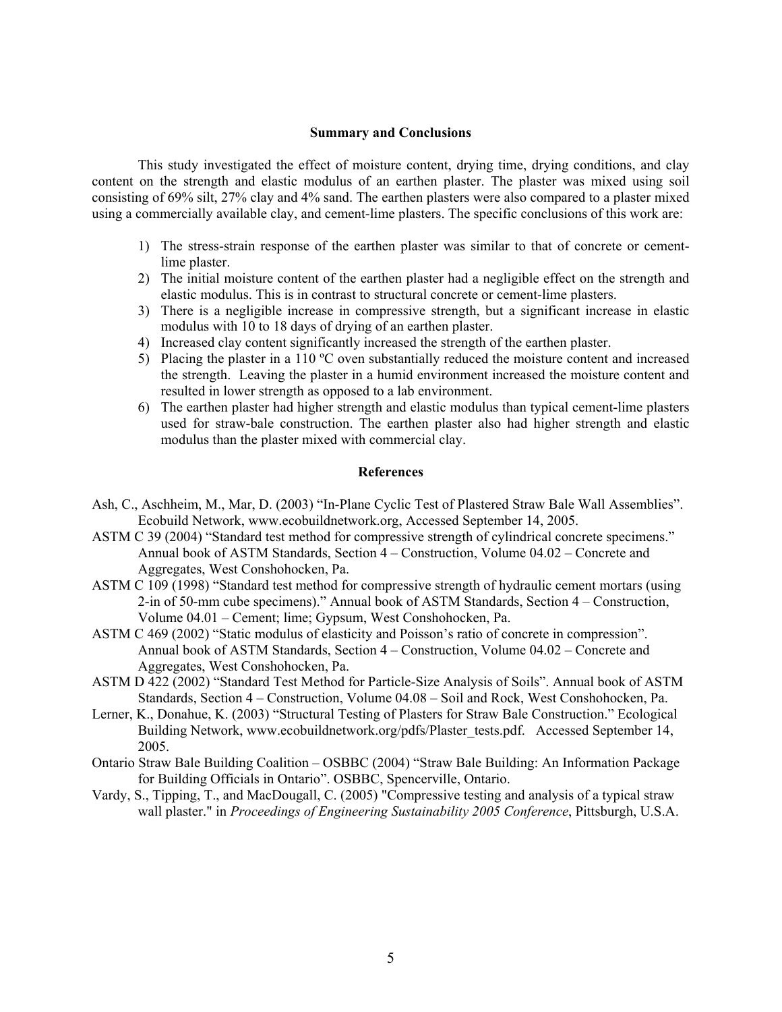### **Summary and Conclusions**

 This study investigated the effect of moisture content, drying time, drying conditions, and clay content on the strength and elastic modulus of an earthen plaster. The plaster was mixed using soil consisting of 69% silt, 27% clay and 4% sand. The earthen plasters were also compared to a plaster mixed using a commercially available clay, and cement-lime plasters. The specific conclusions of this work are:

- 1) The stress-strain response of the earthen plaster was similar to that of concrete or cementlime plaster.
- 2) The initial moisture content of the earthen plaster had a negligible effect on the strength and elastic modulus. This is in contrast to structural concrete or cement-lime plasters.
- 3) There is a negligible increase in compressive strength, but a significant increase in elastic modulus with 10 to 18 days of drying of an earthen plaster.
- 4) Increased clay content significantly increased the strength of the earthen plaster.
- 5) Placing the plaster in a 110 ºC oven substantially reduced the moisture content and increased the strength. Leaving the plaster in a humid environment increased the moisture content and resulted in lower strength as opposed to a lab environment.
- 6) The earthen plaster had higher strength and elastic modulus than typical cement-lime plasters used for straw-bale construction. The earthen plaster also had higher strength and elastic modulus than the plaster mixed with commercial clay.

### **References**

- Ash, C., Aschheim, M., Mar, D. (2003) "In-Plane Cyclic Test of Plastered Straw Bale Wall Assemblies". Ecobuild Network, www.ecobuildnetwork.org, Accessed September 14, 2005.
- ASTM C 39 (2004) "Standard test method for compressive strength of cylindrical concrete specimens." Annual book of ASTM Standards, Section 4 – Construction, Volume 04.02 – Concrete and Aggregates, West Conshohocken, Pa.
- ASTM C 109 (1998) "Standard test method for compressive strength of hydraulic cement mortars (using 2-in of 50-mm cube specimens)." Annual book of ASTM Standards, Section 4 – Construction, Volume 04.01 – Cement; lime; Gypsum, West Conshohocken, Pa.
- ASTM C 469 (2002) "Static modulus of elasticity and Poisson's ratio of concrete in compression". Annual book of ASTM Standards, Section 4 – Construction, Volume 04.02 – Concrete and Aggregates, West Conshohocken, Pa.
- ASTM D 422 (2002) "Standard Test Method for Particle-Size Analysis of Soils". Annual book of ASTM Standards, Section 4 – Construction, Volume 04.08 – Soil and Rock, West Conshohocken, Pa.
- Lerner, K., Donahue, K. (2003) "Structural Testing of Plasters for Straw Bale Construction." Ecological Building Network, www.ecobuildnetwork.org/pdfs/Plaster\_tests.pdf. Accessed September 14, 2005.
- Ontario Straw Bale Building Coalition OSBBC (2004) "Straw Bale Building: An Information Package for Building Officials in Ontario". OSBBC, Spencerville, Ontario.
- Vardy, S., Tipping, T., and MacDougall, C. (2005) "Compressive testing and analysis of a typical straw wall plaster." in *Proceedings of Engineering Sustainability 2005 Conference*, Pittsburgh, U.S.A.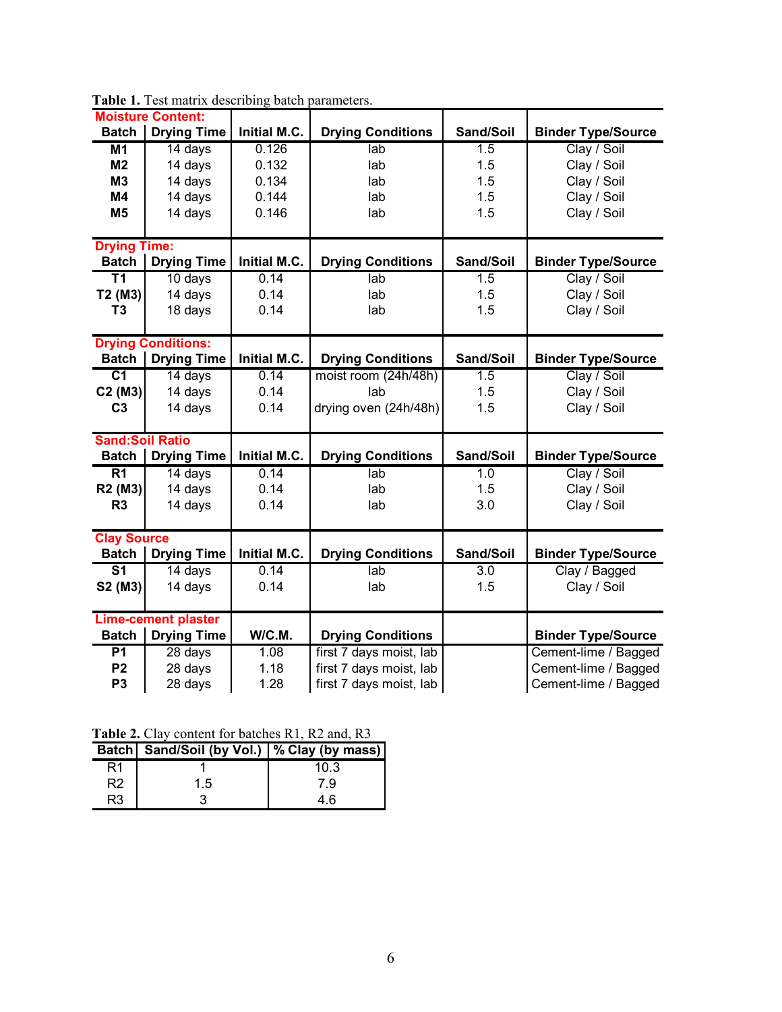| <b>Moisture Content:</b>   |                      |              |                          |           |                           |
|----------------------------|----------------------|--------------|--------------------------|-----------|---------------------------|
| <b>Batch</b>               | <b>Drying Time</b>   | Initial M.C. | <b>Drying Conditions</b> | Sand/Soil | <b>Binder Type/Source</b> |
| M <sub>1</sub>             | 14 days              | 0.126        | lab                      | 1.5       | Clay / Soil               |
| M <sub>2</sub>             | 14 days              | 0.132        | lab                      | 1.5       | Clay / Soil               |
| M <sub>3</sub>             | 14 days              | 0.134        | lab                      | 1.5       | Clay / Soil               |
| <b>M4</b>                  | 14 days              | 0.144        | lab                      | 1.5       | Clay / Soil               |
| M <sub>5</sub>             | 14 days              | 0.146        | lab                      | 1.5       | Clay / Soil               |
|                            |                      |              |                          |           |                           |
| <b>Drying Time:</b>        |                      |              |                          |           |                           |
| <b>Batch</b>               | <b>Drying Time</b>   | Initial M.C. | <b>Drying Conditions</b> | Sand/Soil | <b>Binder Type/Source</b> |
| $\overline{\text{T1}}$     | $10$ days            | 0.14         | lab                      | 1.5       | Clay / Soil               |
| T2 (M3)                    | 14 days              | 0.14         | lab                      | 1.5       | Clay / Soil               |
| T <sub>3</sub>             | 18 days              | 0.14         | lab                      | 1.5       | Clay / Soil               |
|                            |                      |              |                          |           |                           |
| <b>Drying Conditions:</b>  |                      |              |                          |           |                           |
| <b>Batch</b>               | <b>Drying Time</b>   | Initial M.C. | <b>Drying Conditions</b> | Sand/Soil | <b>Binder Type/Source</b> |
| $\overline{C}$ 1           | $\overline{14}$ days | 0.14         | moist room (24h/48h)     | 1.5       | Clay / Soil               |
| C2 (M3)                    | 14 days              | 0.14         | lab                      | 1.5       | Clay / Soil               |
| C <sub>3</sub>             | 14 days              | 0.14         | drying oven (24h/48h)    | 1.5       | Clay / Soil               |
|                            |                      |              |                          |           |                           |
| <b>Sand:Soil Ratio</b>     |                      |              |                          |           |                           |
| <b>Batch</b>               | <b>Drying Time</b>   | Initial M.C. | <b>Drying Conditions</b> | Sand/Soil | <b>Binder Type/Source</b> |
| $\overline{R1}$            | 14 days              | 0.14         | lab                      | 1.0       | Clay / Soil               |
| R2 (M3)                    | 14 days              | 0.14         | lab                      | 1.5       | Clay / Soil               |
| R <sub>3</sub>             | 14 days              | 0.14         | lab                      | 3.0       | Clay / Soil               |
|                            |                      |              |                          |           |                           |
| <b>Clay Source</b>         |                      |              |                          |           |                           |
| <b>Batch</b>               | <b>Drying Time</b>   | Initial M.C. | <b>Drying Conditions</b> | Sand/Soil | <b>Binder Type/Source</b> |
| $\overline{\mathsf{s}}$ 1  | 14 days              | 0.14         | lab                      | 3.0       | Clay / Bagged             |
| S2 (M3)                    | 14 days              | 0.14         | lab                      | 1.5       | Clay / Soil               |
|                            |                      |              |                          |           |                           |
| <b>Lime-cement plaster</b> |                      |              |                          |           |                           |
| <b>Batch</b>               | <b>Drying Time</b>   | W/C.M.       | <b>Drying Conditions</b> |           | <b>Binder Type/Source</b> |
| $\overline{P1}$            | 28 days              | 1.08         | first 7 days moist, lab  |           | Cement-lime / Bagged      |
| P <sub>2</sub>             | 28 days              | 1.18         | first 7 days moist, lab  |           | Cement-lime / Bagged      |
| P <sub>3</sub>             | 28 days              | 1.28         | first 7 days moist, lab  |           | Cement-lime / Bagged      |

Table 1. Test matrix describing batch parameters.

Table 2. Clay content for batches R1, R2 and, R3

|    | Batch Sand/Soil (by Vol.)   % Clay (by mass) |      |
|----|----------------------------------------------|------|
|    |                                              | 10.3 |
| R2 | $1.5^{\circ}$                                | 79   |
| R3 |                                              | 4 R  |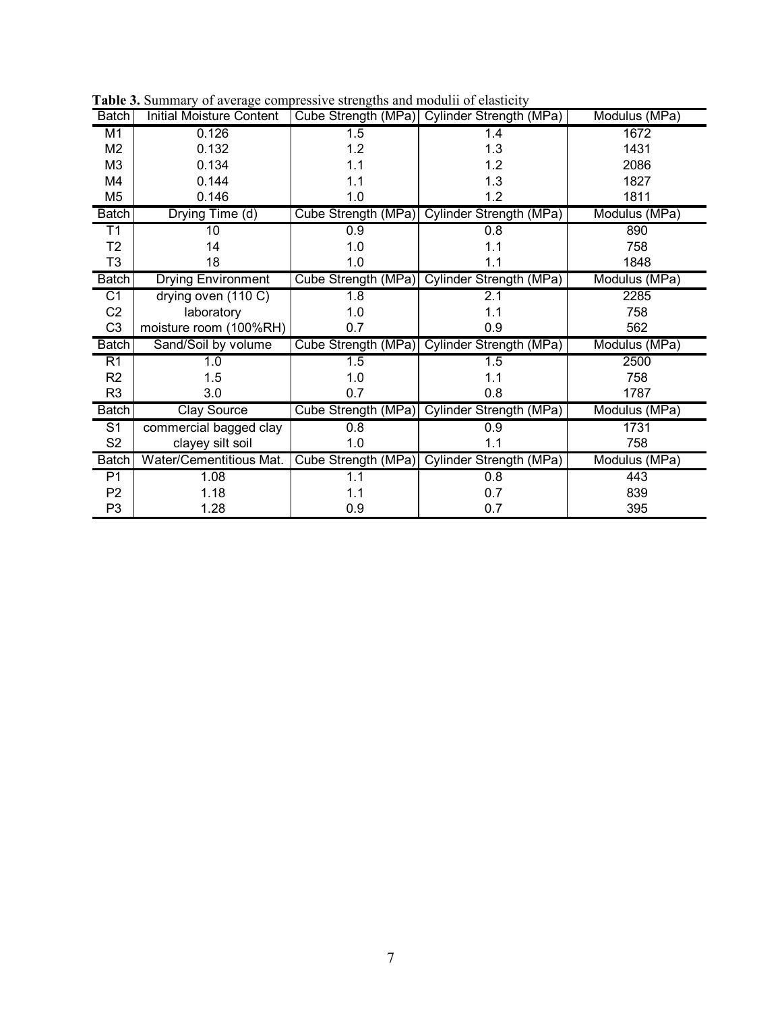| <b>Batch</b>    | <b>Initial Moisture Content</b> |                  | Cube Strength (MPa) Cylinder Strength (MPa) | Modulus (MPa) |
|-----------------|---------------------------------|------------------|---------------------------------------------|---------------|
| M <sub>1</sub>  | 0.126                           | 1.5              | 1.4                                         | 1672          |
| M <sub>2</sub>  | 0.132                           | 1.2              | 1.3                                         | 1431          |
| M <sub>3</sub>  | 0.134                           | 1.1              | 1.2                                         | 2086          |
| M4              | 0.144                           | 1.1              | 1.3                                         | 1827          |
| M <sub>5</sub>  | 0.146                           | 1.0              | 1.2                                         | 1811          |
| <b>Batch</b>    | Drying Time (d)                 |                  | Cube Strength (MPa) Cylinder Strength (MPa) | Modulus (MPa) |
| $\overline{11}$ | 10                              | 0.9              | 0.8                                         | 890           |
| T <sub>2</sub>  | 14                              | 1.0              | 1.1                                         | 758           |
| T <sub>3</sub>  | 18                              | 1.0              | 1.1                                         | 1848          |
| <b>Batch</b>    | <b>Drying Environment</b>       |                  | Cube Strength (MPa) Cylinder Strength (MPa) | Modulus (MPa) |
| C1              | drying oven (110 C)             | $\overline{1.8}$ | 2.1                                         | 2285          |
| C <sub>2</sub>  | laboratory                      | 1.0              | 1.1                                         | 758           |
| C <sub>3</sub>  | moisture room (100%RH)          | 0.7              | 0.9                                         | 562           |
| <b>Batch</b>    | Sand/Soil by volume             |                  | Cube Strength (MPa) Cylinder Strength (MPa) | Modulus (MPa) |
| R1              | 1.0                             | 1.5              | 1.5                                         | 2500          |
| R <sub>2</sub>  | 1.5                             | 1.0              | 1.1                                         | 758           |
| R <sub>3</sub>  | 3.0                             | 0.7              | 0.8                                         | 1787          |
| <b>Batch</b>    | <b>Clay Source</b>              |                  | Cube Strength (MPa) Cylinder Strength (MPa) | Modulus (MPa) |
| $\overline{S1}$ | commercial bagged clay          | 0.8              | 0.9                                         | 1731          |
| S <sub>2</sub>  | clayey silt soil                | 1.0              | 1.1                                         | 758           |
| <b>Batch</b>    | Water/Cementitious Mat.         |                  | Cube Strength (MPa) Cylinder Strength (MPa) | Modulus (MPa) |
| P1              | 1.08                            | 1.1              | 0.8                                         | 443           |
| P <sub>2</sub>  | 1.18                            | 1.1              | 0.7                                         | 839           |
| P <sub>3</sub>  | 1.28                            | 0.9              | 0.7                                         | 395           |

**Table 3.** Summary of average compressive strengths and modulii of elasticity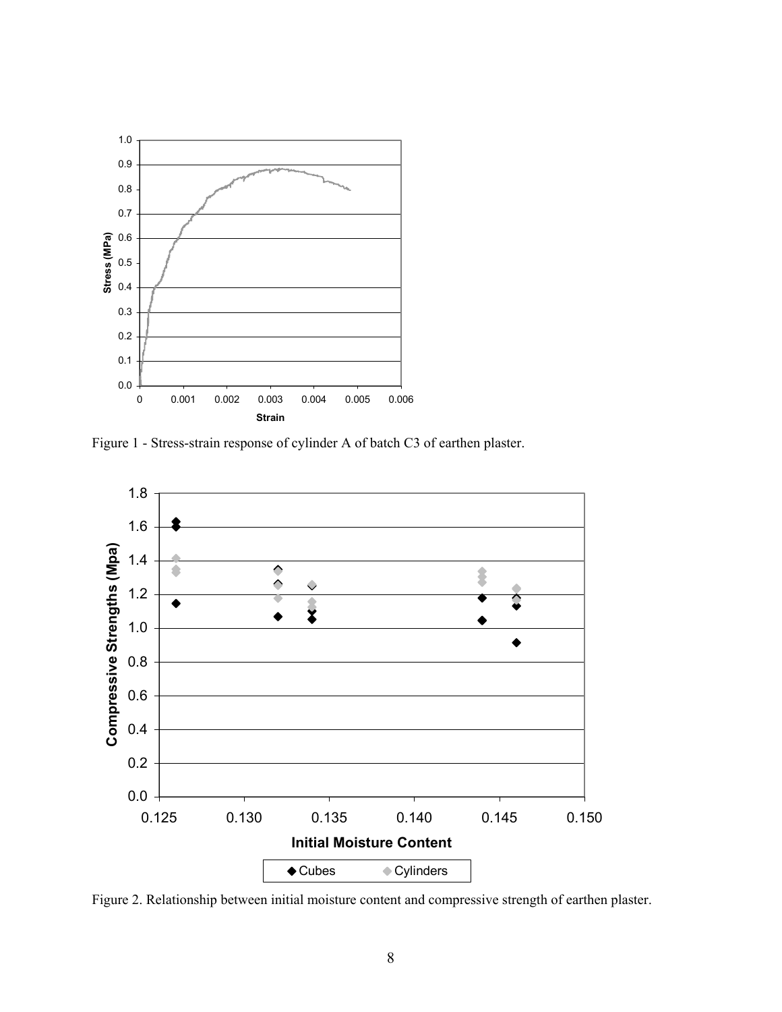

Figure 1 - Stress-strain response of cylinder A of batch C3 of earthen plaster.



Figure 2. Relationship between initial moisture content and compressive strength of earthen plaster.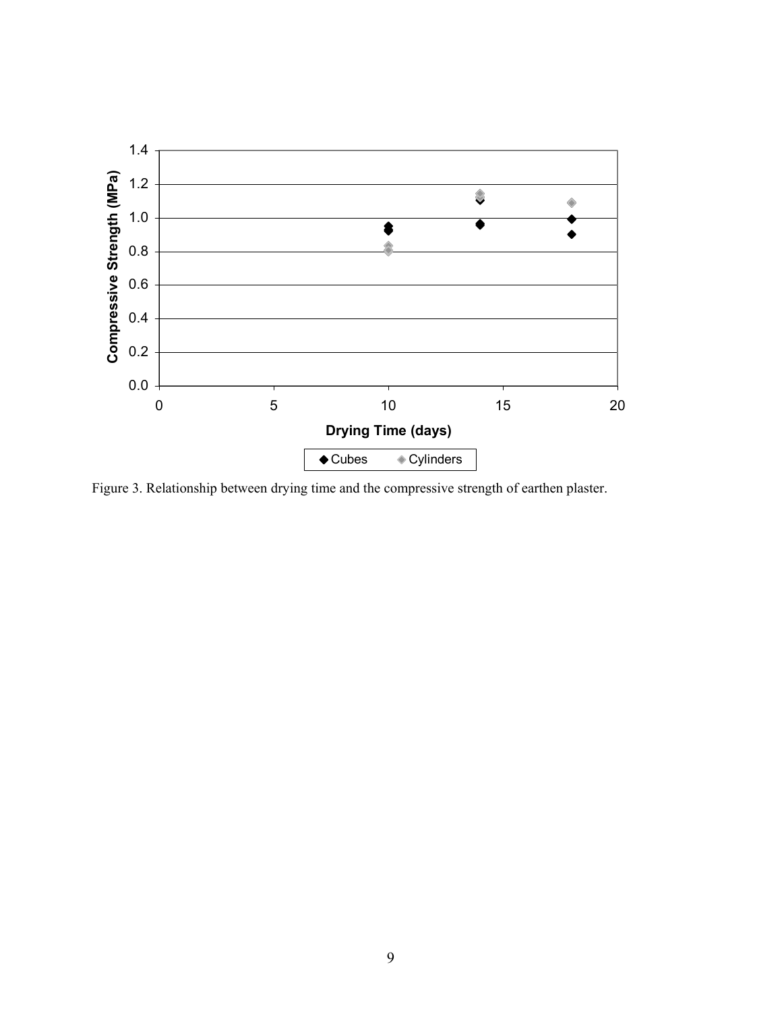

Figure 3. Relationship between drying time and the compressive strength of earthen plaster.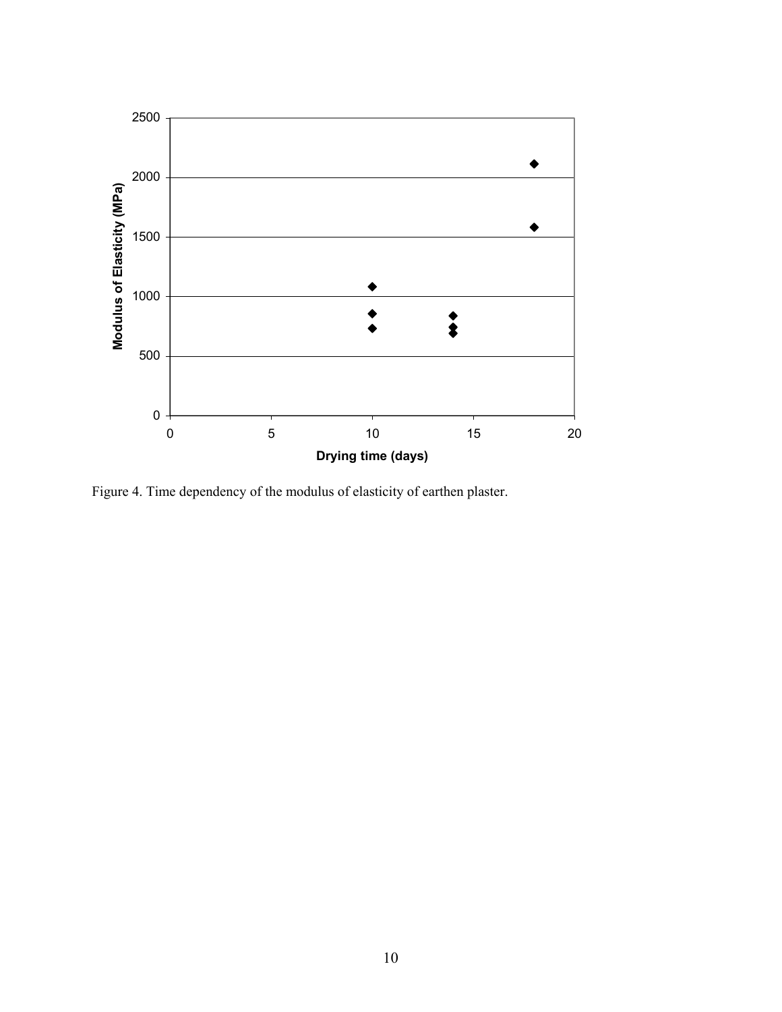

Figure 4. Time dependency of the modulus of elasticity of earthen plaster.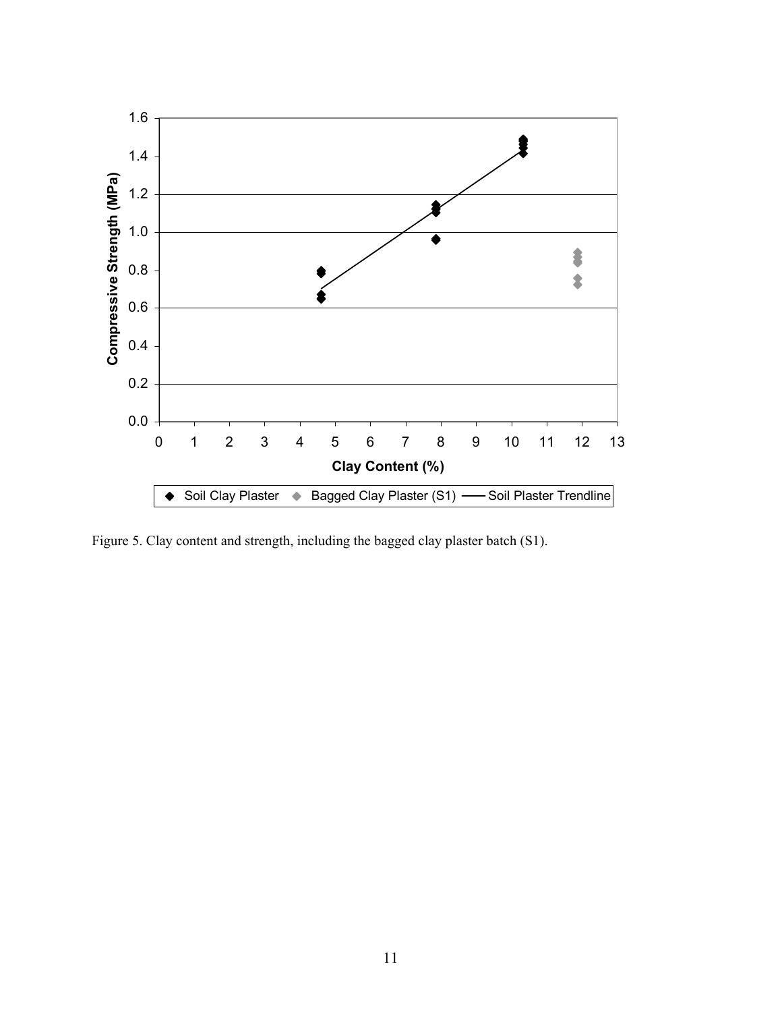

Figure 5. Clay content and strength, including the bagged clay plaster batch (S1).